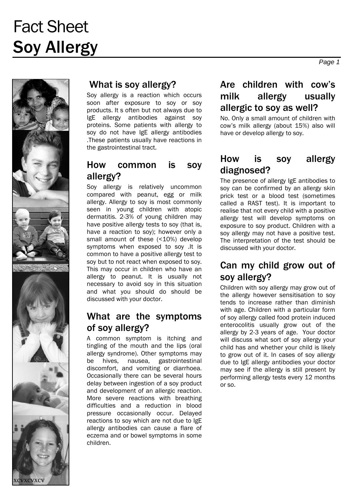# Fact Sheet Soy Allergy



### What is soy allergy?

Soy allergy is a reaction which occurs soon after exposure to soy or soy products. It s often but not always due to IgE allergy antibodies against soy proteins. Some patients with allergy to soy do not have IgE allergy antibodies .These patients usually have reactions in the gastrointestinal tract.

## How common is soy allergy?

Soy allergy is relatively uncommon compared with peanut, egg or milk allergy. Allergy to soy is most commonly seen in young children with atopic dermatitis. 2-3% of young children may have positive allergy tests to soy (that is, have a reaction to soy); however only a small amount of these (<10%) develop symptoms when exposed to soy .It is common to have a positive allergy test to soy but to not react when exposed to soy. This may occur in children who have an allergy to peanut. It is usually not necessary to avoid soy in this situation and what you should do should be discussed with your doctor.

## What are the symptoms of soy allergy?

A common symptom is itching and tingling of the mouth and the lips (oral allergy syndrome). Other symptoms may be hives, nausea, gastrointestinal discomfort, and vomiting or diarrhoea. Occasionally there can be several hours delay between ingestion of a soy product and development of an allergic reaction. More severe reactions with breathing difficulties and a reduction in blood pressure occasionally occur. Delayed reactions to soy which are not due to IgE allergy antibodies can cause a flare of eczema and or bowel symptoms in some children.

## Are children with cow's milk allergy usually allergic to soy as well?

No. Only a small amount of children with cow's milk allergy (about 15%) also will have or develop allergy to soy.

### How is soy allergy diagnosed?

The presence of allergy IgE antibodies to soy can be confirmed by an allergy skin prick test or a blood test (sometimes called a RAST test). It is important to realise that not every child with a positive allergy test will develop symptoms on exposure to soy product. Children with a soy allergy may not have a positive test. The interpretation of the test should be discussed with your doctor.

## Can my child grow out of soy allergy?

Children with soy allergy may grow out of the allergy however sensitisation to soy tends to increase rather than diminish with age. Children with a particular form of soy allergy called food protein induced enterocolitis usually grow out of the allergy by 2-3 years of age. Your doctor will discuss what sort of soy allergy your child has and whether your child is likely to grow out of it. In cases of soy allergy due to IgE allergy antibodies your doctor may see if the allergy is still present by performing allergy tests every 12 months or so.

*Page 1*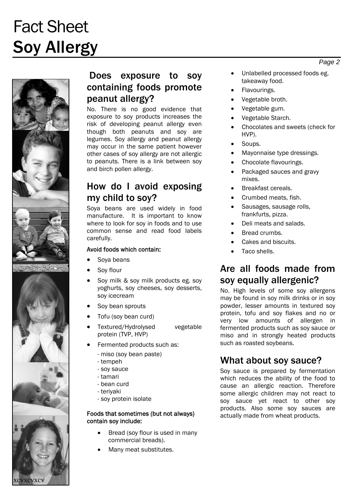# Fact Sheet Soy Allergy



xcvxcvxcv

## Does exposure to soy containing foods promote peanut allergy?

No. There is no good evidence that exposure to soy products increases the risk of developing peanut allergy even though both peanuts and soy are legumes. Soy allergy and peanut allergy may occur in the same patient however other cases of soy allergy are not allergic to peanuts. There is a link between soy and birch pollen allergy.

# How do I avoid exposing my child to soy?

Soya beans are used widely in food manufacture. It is important to know where to look for soy in foods and to use common sense and read food labels carefully.

#### Avoid foods which contain:

- Sova beans
- Soy flour
- Soy milk & soy milk products eg. soy yoghurts, soy cheeses, soy desserts, soy icecream
- Soy bean sprouts
- Tofu (soy bean curd)
- Textured/Hydrolysed vegetable protein (TVP, HVP)
- Fermented products such as:
	- miso (soy bean paste)
	- tempeh
	- soy sauce
	- tamari
	- bean curd
	- teriyaki
	- soy protein isolate

#### Foods that sometimes (but not always) contain soy include:

- Bread (soy flour is used in many commercial breads).
- Many meat substitutes.
- Unlabelled processed foods eg. takeaway food.
- Flavourings.
- Vegetable broth.
- Vegetable gum.
- Vegetable Starch.
- Chocolates and sweets (check for HVP).
- Soups.
- Mayonnaise type dressings.
- Chocolate flavourings.
- Packaged sauces and gravy mixes.
- Breakfast cereals.
- Crumbed meats, fish.
- Sausages, sausage rolls, frankfurts, pizza.
- Deli meats and salads.
- Bread crumbs.
- Cakes and biscuits.
- Taco shells.

# Are all foods made from soy equally allergenic?

No. High levels of some soy allergens may be found in soy milk drinks or in soy powder, lesser amounts in textured soy protein, tofu and soy flakes and no or very low amounts of allergen in fermented products such as soy sauce or miso and in strongly heated products such as roasted soybeans.

## What about soy sauce?

Soy sauce is prepared by fermentation which reduces the ability of the food to cause an allergic reaction. Therefore some allergic children may not react to soy sauce yet react to other soy products. Also some soy sauces are actually made from wheat products.